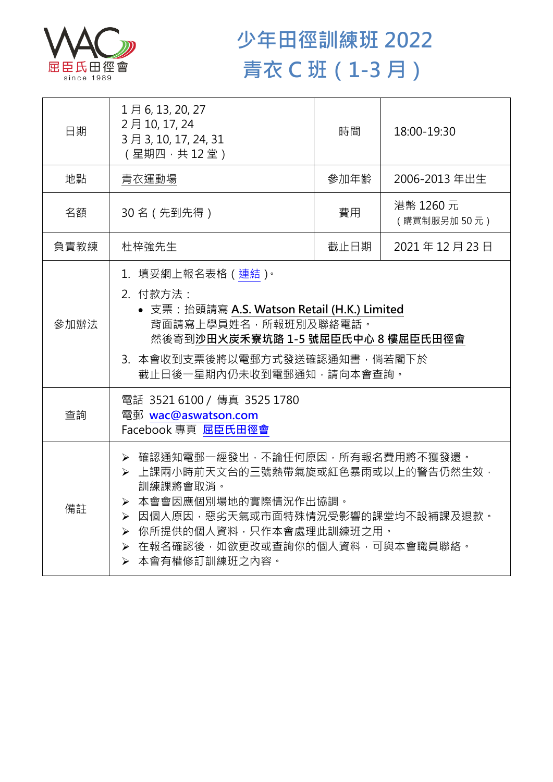

## **少年田徑訓練班 2022 青衣 C 班(1-3 月)**

| 日期   | 1月6,13,20,27<br>2月10, 17, 24<br>3月3,10,17,24,31<br>(星期四,共12堂)                                                                                                                                                                         | 時間   | 18:00-19:30              |  |
|------|---------------------------------------------------------------------------------------------------------------------------------------------------------------------------------------------------------------------------------------|------|--------------------------|--|
| 地點   | 青衣運動場                                                                                                                                                                                                                                 | 參加年齡 | 2006-2013 年出生            |  |
| 名額   | 30名 (先到先得)                                                                                                                                                                                                                            | 費用   | 港幣 1260 元<br>(購買制服另加50元) |  |
| 負責教練 | 杜梓強先生                                                                                                                                                                                                                                 | 截止日期 | 2021年12月23日              |  |
| 參加辦法 | 1.填妥網上報名表格(連結) <sup>。</sup><br>2. 付款方法:<br>• 支票: 抬頭請寫 A.S. Watson Retail (H.K.) Limited<br>背面請寫上學員姓名,所報班別及聯絡電話。<br>然後寄到沙田火炭禾寮坑路 1-5 號屈臣氏中心 8 樓屈臣氏田徑會<br>3. 本會收到支票後將以電郵方式發送確認通知書,倘若閣下於<br>截止日後一星期內仍未收到電郵通知,請向本會查詢。                     |      |                          |  |
| 查詢   | 電話 3521 6100 / 傳真 3525 1780<br>電郵 wac@aswatson.com<br>Facebook 專頁 屈臣氏田徑會                                                                                                                                                              |      |                          |  |
| 備註   | ▶ 確認通知電郵一經發出,不論任何原因,所有報名費用將不獲發還。<br>▶ 上課兩小時前天文台的三號熱帶氣旋或紅色暴雨或以上的警告仍然生效,<br>訓練課將會取消。<br>> 本會會因應個別場地的實際情況作出協調。<br>▶ 因個人原因,惡劣天氣或市面特殊情況受影響的課堂均不設補課及退款。<br>▶ 你所提供的個人資料,只作本會處理此訓練班之用。<br>▶ 在報名確認後,如欲更改或查詢你的個人資料,可與本會職員聯絡。<br>> 本會有權修訂訓練班之內容。 |      |                          |  |